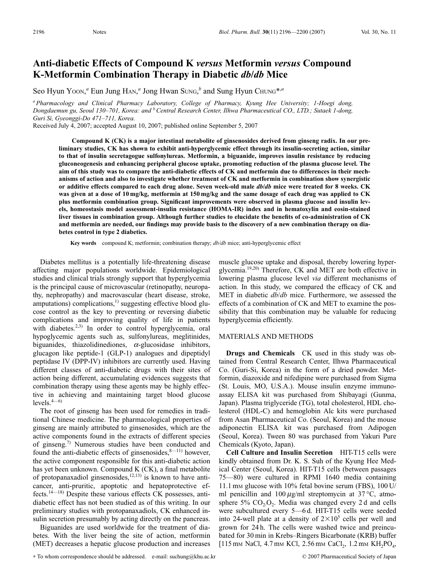# **Anti-diabetic Effects of Compound K** *versus* **Metformin** *versus* **Compound K-Metformin Combination Therapy in Diabetic** *db***/***db* **Mice**

Seo Hyun Yoon,<sup>*a*</sup> Eun Jung HAN,<sup>*a*</sup> Jong Hwan SUNG,<sup>*b*</sup> and Sung Hyun CHUNG<sup>\*,*a*</sup>

*<sup>a</sup> Pharmacology and Clinical Pharmacy Laboratory, College of Pharmacy, Kyung Hee University; 1-Hoegi dong, Dongdaemun gu, Seoul 130–701, Korea: and bCentral Research Center, Ilhwa Pharmaceutical CO., LTD.; Sutaek 1-dong, Guri Si, Gyeonggi-Do 471–711, Korea.*

Received July 4, 2007; accepted August 10, 2007; published online September 5, 2007

**Compound K (CK) is a major intestinal metabolite of ginsenosides derived from ginseng radix. In our preliminary studies, CK has shown to exhibit anti-hyperglycemic effect through its insulin-secreting action, similar to that of insulin secretagogue sulfonylureas. Metformin, a biguanide, improves insulin resistance by reducing gluconeogenesis and enhancing peripheral glucose uptake, promoting reduction of the plasma glucose level. The aim of this study was to compare the anti-diabetic effects of CK and metformin due to differences in their mechanisms of action and also to investigate whether treatment of CK and metformin in combination show synergistic or additive effects compared to each drug alone. Seven week-old male** *db***/***db* **mice were treated for 8 weeks. CK was given at a dose of 10 mg/kg, metformin at 150 mg/kg and the same dosage of each drug was applied to CK plus metformin combination group. Significant improvements were observed in plasma glucose and insulin levels, homeostasis model assessment-insulin resistance (HOMA-IR) index and in hematoxylin and eosin-stained liver tissues in combination group. Although further studies to elucidate the benefits of co-administration of CK and metformin are needed, our findings may provide basis to the discovery of a new combination therapy on diabetes control in type 2 diabetics.**

**Key words** compound K; metformin; combination therapy; *db/db* mice; anti-hyperglycemic effect

Diabetes mellitus is a potentially life-threatening disease affecting major populations worldwide. Epidemiological studies and clinical trials strongly support that hyperglycemia is the principal cause of microvascular (retinopathy, neuropathy, nephropathy) and macrovascular (heart disease, stroke, amputations) complications, $^{1)}$  suggesting effective blood glucose control as the key to preventing or reversing diabetic complications and improving quality of life in patients with diabetes.<sup>2,3)</sup> In order to control hyperglycemia, oral hypoglycemic agents such as, sulfonylureas, meglitinides, biguanides, thiazolidinediones,  $\alpha$ -glucosidase inhibitors, glucagon like peptide-1 (GLP-1) analogues and dipeptidyl peptidase IV (DPP-IV) inhibitors are currently used. Having different classes of anti-diabetic drugs with their sites of action being different, accumulating evidences suggests that combination therapy using these agents may be highly effective in achieving and maintaining target blood glucose levels. $4-6$ 

The root of ginseng has been used for remedies in traditional Chinese medicine. The pharmacological properties of ginseng are mainly attributed to ginsenosides, which are the active components found in the extracts of different species of ginseng.<sup>7)</sup> Numerous studies have been conducted and found the anti-diabetic effects of ginsenosides,  $8-11$ ) however, the active component responsible for this anti-diabetic action has yet been unknown. Compound K (CK), a final metabolite of protopanaxadiol ginsenosides, $12,13$ ) is known to have anticancer, anti-pruritic, apoptotic and hepatoprotective effects.14—18) Despite these various effects CK possesses, antidiabetic effect has not been studied as of this writing. In our preliminary studies with protopanaxadiols, CK enhanced insulin secretion presumably by acting directly on the pancreas.

Biguanides are used worldwide for the treatment of diabetes. With the liver being the site of action, metformin (MET) decreases a hepatic glucose production and increases muscle glucose uptake and disposal, thereby lowering hyperglycemia.19,20) Therefore, CK and MET are both effective in lowering plasma glucose level *via* different mechanisms of action. In this study, we compared the efficacy of CK and MET in diabetic *db*/*db* mice. Furthermore, we assessed the effects of a combination of CK and MET to examine the possibility that this combination may be valuable for reducing hyperglycemia efficiently.

## MATERIALS AND METHODS

**Drugs and Chemicals** CK used in this study was obtained from Central Research Center, Ilhwa Pharmaceutical Co. (Guri-Si, Korea) in the form of a dried powder. Metformin, diazoxide and nifedipine were purchased from Sigma (St. Louis, MO, U.S.A.). Mouse insulin enzyme immunoassay ELISA kit was purchased from Shibayagi (Gunma, Japan). Plasma triglyceride (TG), total cholesterol, HDL cholesterol (HDL-C) and hemoglobin Alc kits were purchased from Asan Pharmaceutical Co. (Seoul, Korea) and the mouse adiponectin ELISA kit was purchased from Adipogen (Seoul, Korea). Tween 80 was purchased from Yakuri Pure Chemicals (Kyoto, Japan).

**Cell Culture and Insulin Secretion** HIT-T15 cells were kindly obtained from Dr. K. S. Suh of the Kyung Hee Medical Center (Seoul, Korea). HIT-T15 cells (between passages 75—80) were cultured in RPMI 1640 media containing 11.1 mM glucose with 10% fetal bovine serum (FBS), 100 U/ ml penicillin and 100  $\mu$ g/ml streptomycin at 37 °C, atmosphere 5%  $CO<sub>2</sub>/O<sub>2</sub>$ . Media was changed every 2 d and cells were subcultured every 5—6 d. HIT-T15 cells were seeded into 24-well plate at a density of  $2\times10^5$  cells per well and grown for 24 h. The cells were washed twice and preincubated for 30 min in Krebs–Ringers Bicarbonate (KRB) buffer [115 mm NaCl, 4.7 mm KCl, 2.56 mm CaCl<sub>2</sub>, 1.2 mm KH<sub>2</sub>PO<sub>4</sub>,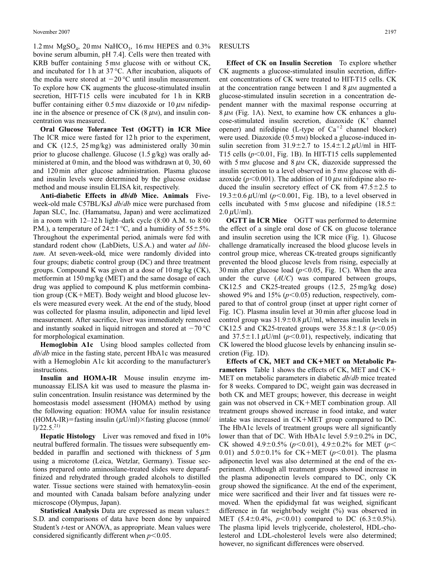1.2 mm  $MgSO<sub>4</sub>$ , 20 mm NaHCO<sub>3</sub>, 16 mm HEPES and 0.3% bovine serum albumin, pH 7.4]. Cells were then treated with KRB buffer containing 5 mm glucose with or without CK, and incubated for 1 h at  $37^{\circ}$ C. After incubation, aliquots of the media were stored at  $-20^{\circ}$ C until insulin measurement. To explore how CK augments the glucose-stimulated insulin secretion, HIT-T15 cells were incubated for 1h in KRB buffer containing either 0.5 mm diazoxide or  $10 \mu$ m nifedipine in the absence or presence of CK  $(8 \mu)$ , and insulin concentration was measured.

**Oral Glucose Tolerance Test (OGTT) in ICR Mice** The ICR mice were fasted for 12 h prior to the experiment, and CK (12.5, 25 mg/kg) was administered orally 30 min prior to glucose challenge. Glucose (1.5 g/kg) was orally administered at 0 min, and the blood was withdrawn at 0, 30, 60 and 120 min after glucose administration. Plasma glucose and insulin levels were determined by the glucose oxidase method and mouse insulin ELISA kit, respectively.

**Anti-diabetic Effects in** *db***/***db* **Mice. Animals** Fiveweek-old male C57BL/KsJ *db*/*db* mice were purchased from Japan SLC, Inc. (Hamamatsu, Japan) and were acclimatized in a room with 12–12 h light–dark cycle (8:00 A.M. to 8:00 P.M.), a temperature of  $24 \pm 1$  °C, and a humidity of  $55 \pm 5$ %. Throughout the experimental period, animals were fed with standard rodent chow (LabDiets, U.S.A.) and water *ad libitum*. At seven-week-old, mice were randomly divided into four groups; diabetic control group (DC) and three treatment groups. Compound K was given at a dose of 10 mg/kg (CK), metformin at 150 mg/kg (MET) and the same dosage of each drug was applied to compound K plus metformin combination group (CK+MET). Body weight and blood glucose levels were measured every week. At the end of the study, blood was collected for plasma insulin, adiponectin and lipid level measurement. After sacrifice, liver was immediately removed and instantly soaked in liquid nitrogen and stored at  $-70^{\circ}$ C for morphological examination.

**Hemoglobin A1c** Using blood samples collected from *db*/*db* mice in the fasting state, percent HbA1c was measured with a Hemoglobin A1c kit according to the manufacturer's instructions.

**Insulin and HOMA-IR** Mouse insulin enzyme immunoassay ELISA kit was used to measure the plasma insulin concentration. Insulin resistance was determined by the homeostasis model assessment (HOMA) method by using the following equation: HOMA value for insulin resistance  $(HOMA-IR)$ = fasting insulin  $(\mu U/ml) \times$  fasting glucose (mmol/  $1)/22.5.^{21}$ 

**Hepatic Histology** Liver was removed and fixed in 10% neutral buffered formalin. The tissues were subsequently embedded in paraffin and sectioned with thickness of  $5 \mu m$ using a microtome (Leica, Wetzlar, Germany). Tissue sections prepared onto aminosilane-treated slides were deparaffinized and rehydrated through graded alcohols to distilled water. Tissue sections were stained with hematoxylin–eosin and mounted with Canada balsam before analyzing under microscope (Olympus, Japan).

**Statistical Analysis** Data are expressed as mean values S.D. and comparisons of data have been done by unpaired Student's *t*-test or ANOVA, as appropriate. Mean values were considered significantly different when  $p<0.05$ .

## RESULTS

**Effect of CK on Insulin Secretion** To explore whether CK augments a glucose-stimulated insulin secretion, different concentrations of CK were treated to HIT-T15 cells. CK at the concentration range between 1 and  $8 \mu$ M augmented a glucose-stimulated insulin secretion in a concentration dependent manner with the maximal response occurring at  $8 \mu$ M (Fig. 1A). Next, to examine how CK enhances a glucose-stimulated insulin secretion, diazoxide  $(K^+$  channel opener) and nifedipine (L-type of  $Ca^{+2}$  channel blocker) were used. Diazoxide (0.5 mm) blocked a glucose-induced insulin secretion from  $31.9 \pm 2.7$  to  $15.4 \pm 1.2 \,\mu$ U/ml in HIT-T15 cells  $(p<0.01$ , Fig. 1B). In HIT-T15 cells supplemented with 5 mm glucose and  $8 \mu$ m CK, diazoxide suppressed the insulin secretion to a level observed in 5 mm glucose with diazoxide ( $p<0.001$ ). The addition of 10  $\mu$ M nifedipine also reduced the insulin secretory effect of CK from  $47.5 \pm 2.5$  to  $19.3\pm0.6 \,\mu\text{U/ml}$  ( $p<0.001$ , Fig. 1B), to a level observed in cells incubated with 5 mm glucose and nifedipine  $(18.5 \pm$  $2.0 \mu U/ml$ ).

**OGTT in ICR Mice** OGTT was performed to determine the effect of a single oral dose of CK on glucose tolerance and insulin secretion using the ICR mice (Fig. 1). Glucose challenge dramatically increased the blood glucose levels in control group mice, whereas CK-treated groups significantly prevented the blood glucose levels from rising, especially at 30 min after glucose load  $(p<0.05,$  Fig. 1C). When the area under the curve (*AUC*) was compared between groups, CK12.5 and CK25-treated groups (12.5, 25 mg/kg dose) showed 9% and 15%  $(p<0.05)$  reduction, respectively, compared to that of control group (inset at upper right corner of Fig. 1C). Plasma insulin level at 30 min after glucose load in control group was  $31.9\pm0.8 \,\mu\text{U/ml}$ , whereas insulin levels in CK12.5 and CK25-treated groups were  $35.8 \pm 1.8$  ( $p < 0.05$ ) and  $37.5 \pm 1.1 \mu U/ml$  ( $p<0.01$ ), respectively, indicating that CK lowered the blood glucose levels by enhancing insulin secretion (Fig. 1D).

Effects of CK, MET and CK+MET on Metabolic Pa**rameters** Table 1 shows the effects of CK, MET and CK MET on metabolic parameters in diabetic *db*/*db* mice treated for 8 weeks. Compared to DC, weight gain was decreased in both CK and MET groups; however, this decrease in weight gain was not observed in  $CK+MET$  combination group. All treatment groups showed increase in food intake, and water intake was increased in  $CK+MET$  group compared to DC. The HbA1c levels of treatment groups were all significantly lower than that of DC. With HbA1c level  $5.9 \pm 0.2\%$  in DC, CK showed  $4.9 \pm 0.5\%$  ( $p < 0.01$ ),  $4.9 \pm 0.2\%$  for MET ( $p <$ 0.01) and  $5.0 \pm 0.1\%$  for CK+MET ( $p < 0.01$ ). The plasma adiponectin level was also determined at the end of the experiment. Although all treatment groups showed increase in the plasma adiponectin levels compared to DC, only CK group showed the significance. At the end of the experiment, mice were sacrificed and their liver and fat tissues were removed. When the epididymal fat was weighed, significant difference in fat weight/body weight (%) was observed in MET  $(5.4 \pm 0.4\%, p < 0.01)$  compared to DC  $(6.3 \pm 0.5\%).$ The plasma lipid levels triglyceride, cholesterol, HDL-cholesterol and LDL-cholesterol levels were also determined; however, no significant differences were observed.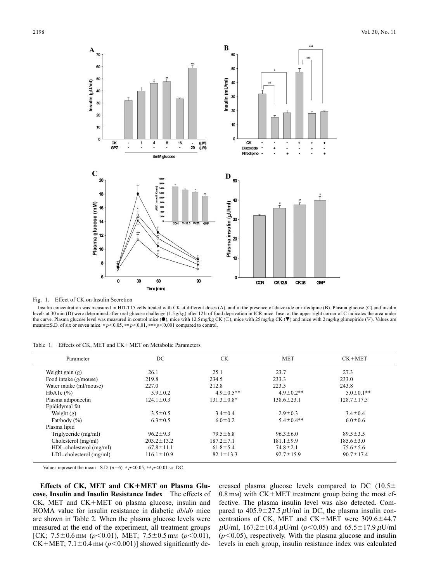

#### Fig. 1. Effect of CK on Insulin Secretion

Insulin concentration was measured in HIT-T15 cells treated with CK at different doses (A), and in the presence of diazoxide or nifedipine (B). Plasma glucose (C) and insulin levels at 30 min (D) were determined after oral glucose challenge (1.5 g/kg) after 12 h of food deprivation in ICR mice. Inset at the upper right corner of C indicates the area under the curve. Plasma glucose level was measured in control mice  $(\bullet)$ , mice with 12.5 mg/kg CK ( $\circ$ ), mice with 25 mg/kg CK ( $\nabla$ ) and mice with 2 mg/kg glimepiride ( $\triangledown$ ). Values are means±S.D. of six or seven mice. \* *p*<0.05, \*\* *p*<0.01, \*\*\* *p*<0.001 compared to control.

Table 1. Effects of CK, MET and CK+MET on Metabolic Parameters

| Parameter               | DC               | CK.              | <b>MET</b>       | $CK+MET$         |
|-------------------------|------------------|------------------|------------------|------------------|
| Weight gain $(g)$       | 26.1             | 25.1             | 23.7             | 27.3             |
| Food intake (g/mouse)   | 219.8            | 234.5            | 233.3            | 233.0            |
| Water intake (ml/mouse) | 227.0            | 212.8            | 223.5            | 243.8            |
| HbA1c $(\%)$            | $5.9 \pm 0.2$    | $4.9 \pm 0.5$ ** | $4.9 \pm 0.2$ ** | $5.0 \pm 0.1**$  |
| Plasma adiponectin      | $124.1 \pm 0.3$  | $131.3 \pm 0.8*$ | $138.6 \pm 23.1$ | $128.7 \pm 17.5$ |
| Epididymal fat          |                  |                  |                  |                  |
| Weight $(g)$            | $3.5 \pm 0.5$    | $3.4 \pm 0.4$    | $2.9 \pm 0.3$    | $3.4 \pm 0.4$    |
| Fat/body $(\% )$        | $6.3 \pm 0.5$    | $6.0 \pm 0.2$    | $5.4 \pm 0.4**$  | $6.0 \pm 0.6$    |
| Plasma lipid            |                  |                  |                  |                  |
| Triglyceride (mg/ml)    | $96.2 \pm 9.3$   | $79.5 \pm 6.8$   | $96.3 \pm 6.0$   | $89.5 \pm 3.5$   |
| Cholesterol (mg/ml)     | $203.2 \pm 13.2$ | $187.2 \pm 7.1$  | $181.1 \pm 9.9$  | $185.6 \pm 3.0$  |
| HDL-cholesterol (mg/ml) | $67.8 \pm 11.1$  | $61.8 \pm 5.4$   | $74.8 \pm 2.1$   | $75.6 \pm 5.6$   |
| LDL-cholesterol (mg/ml) | $116.1 \pm 10.9$ | $82.1 \pm 13.3$  | $92.7 \pm 15.9$  | $90.7 \pm 17.4$  |

Values represent the mean  $\pm$  S.D. (*n*=6). \* *p*<0.05, \*\* *p*<0.01 *vs.* DC.

Effects of CK, MET and CK+MET on Plasma Glu**cose, Insulin and Insulin Resistance Index** The effects of  $CK$ , MET and  $CK+MET$  on plasma glucose, insulin and HOMA value for insulin resistance in diabetic *db*/*db* mice are shown in Table 2. When the plasma glucose levels were measured at the end of the experiment, all treatment groups [CK;  $7.5 \pm 0.6$  mm ( $p < 0.01$ ), MET;  $7.5 \pm 0.5$  mm ( $p < 0.01$ ), CK+MET;  $7.1 \pm 0.4$  mm ( $p < 0.001$ )] showed significantly decreased plasma glucose levels compared to DC  $(10.5\pm$  $(0.8 \text{ mm})$  with CK+MET treatment group being the most effective. The plasma insulin level was also detected. Compared to  $405.9 \pm 27.5 \,\mu\text{U/ml}$  in DC, the plasma insulin concentrations of CK, MET and CK+MET were  $309.6 \pm 44.7$  $\mu$ U/ml, 167.2 $\pm$ 10.4  $\mu$ U/ml ( $p$ <0.05) and 65.5 $\pm$ 17.9  $\mu$ U/ml  $(p<0.05)$ , respectively. With the plasma glucose and insulin levels in each group, insulin resistance index was calculated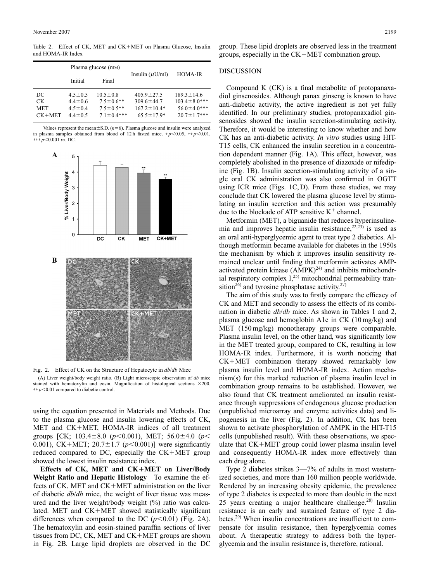Table 2. Effect of CK, MET and CK+MET on Plasma Glucose, Insulin and HOMA-IR Index

|            | Plasma glucose (m <sub>M</sub> ) |                   | Insulin $(\mu U/ml)$ | <b>HOMA-IR</b>      |
|------------|----------------------------------|-------------------|----------------------|---------------------|
|            | Initial                          | Final             |                      |                     |
| DC         | $4.5 \pm 0.5$                    | $10.5 \pm 0.8$    | $405.9 \pm 27.5$     | $189.3 \pm 14.6$    |
| CK.        | $4.4 \pm 0.6$                    | $7.5 \pm 0.6$ **  | $309.6 \pm 44.7$     | $103.4 \pm 8.0$ *** |
| <b>MET</b> | $4.5 \pm 0.4$                    | $7.5 \pm 0.5$ **  | $167.2 \pm 10.4*$    | $56.0 \pm 4.0$ ***  |
| $CK+MET$   | $4.4 \pm 0.5$                    | $7.1 \pm 0.4$ *** | $65.5 \pm 17.9*$     | $20.7 \pm 1.7$ ***  |

Values represent the mean $\pm$ S.D. ( $n=6$ ). Plasma glucose and insulin were analyzed in plasma samples obtained from blood of 12h fasted mice. \* $p$ <0.05, \*\* $p$ <0.01, ∗∗∗ *p*0.001 *vs.* DC.



Fig. 2. Effect of CK on the Structure of Hepatocyte in *db*/*db* Mice (A) Liver weight/body weight ratio. (B) Light microscopic observation of *db* mice stained with hematoxylin and eosin. Magnification of histological sections  $\times 200$ .

∗∗ *p*0.01 compared to diabetic control.

using the equation presented in Materials and Methods. Due to the plasma glucose and insulin lowering effects of CK, MET and  $CK+MET$ , HOMA-IR indices of all treatment groups [CK;  $103.4 \pm 8.0$  ( $p < 0.001$ ), MET;  $56.0 \pm 4.0$  ( $p <$ 0.001), CK+MET;  $20.7 \pm 1.7$  ( $p < 0.001$ )] were significantly reduced compared to DC, especially the  $CK+MET$  group showed the lowest insulin resistance index.

Effects of CK, MET and CK+MET on Liver/Body **Weight Ratio and Hepatic Histology** To examine the effects of CK, MET and  $CK+MET$  administration on the liver of diabetic *db*/*db* mice, the weight of liver tissue was measured and the liver weight/body weight (%) ratio was calculated. MET and  $CK+MET$  showed statistically significant differences when compared to the DC  $(p<0.01)$  (Fig. 2A). The hematoxylin and eosin-stained paraffin sections of liver tissues from DC, CK, MET and  $CK+MET$  groups are shown in Fig. 2B. Large lipid droplets are observed in the DC

group. These lipid droplets are observed less in the treatment groups, especially in the  $CK+MET$  combination group.

#### DISCUSSION

Compound K (CK) is a final metabolite of protopanaxadiol ginsenosides. Although panax ginseng is known to have anti-diabetic activity, the active ingredient is not yet fully identified. In our preliminary studies, protopanaxadiol ginsenosides showed the insulin secretion-stimulating activity. Therefore, it would be interesting to know whether and how CK has an anti-diabetic activity. *In vitro* studies using HIT-T15 cells, CK enhanced the insulin secretion in a concentration dependent manner (Fig. 1A). This effect, however, was completely abolished in the presence of diazoxide or nifedipine (Fig. 1B). Insulin secretion-stimulating activity of a single oral CK administration was also confirmed in OGTT using ICR mice (Figs. 1C, D). From these studies, we may conclude that CK lowered the plasma glucose level by stimulating an insulin secretion and this action was presumably due to the blockade of ATP sensitive  $K^+$  channel.

Metformin (MET), a biguanide that reduces hyperinsulinemia and improves hepatic insulin resistance,  $2^{2,23}$  is used as an oral anti-hyperglycemic agent to treat type 2 diabetics. Although metformin became available for diabetes in the 1950s the mechanism by which it improves insulin sensitivity remained unclear until finding that metformin activates AMPactivated protein kinase  $(AMPK)^{24}$  and inhibits mitochondrial respiratory complex  $I<sub>1</sub><sup>(25)</sup>$  mitochondrial permeability transition<sup>26</sup>) and tyrosine phosphatase activity.<sup>27</sup>

The aim of this study was to firstly compare the efficacy of CK and MET and secondly to assess the effects of its combination in diabetic *db*/*db* mice. As shown in Tables 1 and 2, plasma glucose and hemoglobin A1c in CK (10 mg/kg) and MET (150 mg/kg) monotherapy groups were comparable. Plasma insulin level, on the other hand, was significantly low in the MET treated group, compared to CK, resulting in low HOMA-IR index. Furthermore, it is worth noticing that  $CK+MET$  combination therapy showed remarkably low plasma insulin level and HOMA-IR index. Action mechanism(s) for this marked reduction of plasma insulin level in combination group remains to be established. However, we also found that CK treatment ameliorated an insulin resistance through suppressions of endogenous glucose production (unpublished microarray and enzyme activities data) and lipogenesis in the liver (Fig. 2). In addition, CK has been shown to activate phosphorylation of AMPK in the HIT-T15 cells (unpublished result). With these observations, we speculate that  $CK+MET$  group could lower plasma insulin level and consequently HOMA-IR index more effectively than each drug alone.

Type 2 diabetes strikes 3—7% of adults in most westernized societies, and more than 160 million people worldwide. Rendered by an increasing obesity epidemic, the prevalence of type 2 diabetes is expected to more than double in the next 25 years creating a major healthcare challenge.<sup>28)</sup> Insulin resistance is an early and sustained feature of type 2 diabetes.29) When insulin concentrations are insufficient to compensate for insulin resistance, then hyperglycemia comes about. A therapeutic strategy to address both the hyperglycemia and the insulin resistance is, therefore, rational.